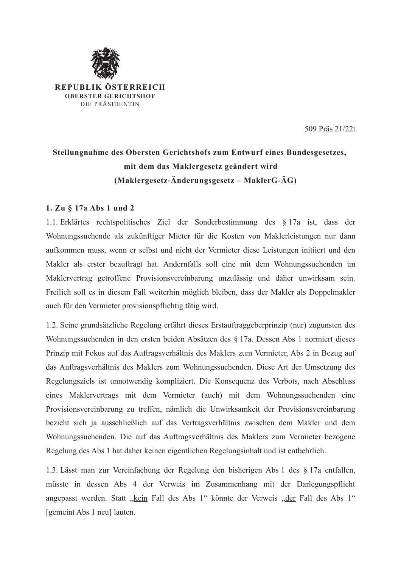

REPUBLIK ÖSTERREICH **OBERSTER GERICHTSHOF** DIE PRÄSIDENTIN

509 Präs 21/22t

# Stellungnahme des Obersten Gerichtshofs zum Entwurf eines Bundesgesetzes, mit dem das Maklergesetz geändert wird (Maklergesetz-Änderungsgesetz – MaklerG-ÄG)

## 1. Zu § 17a Abs 1 und 2

1.1. Erklärtes rechtspolitisches Ziel der Sonderbestimmung des § 17a ist, dass der Wohnungssuchende als zukünftiger Mieter für die Kosten von Maklerleistungen nur dann aufkommen muss, wenn er selbst und nicht der Vermieter diese Leistungen initiiert und den Makler als erster beauftragt hat. Andernfalls soll eine mit dem Wohnungssuchenden im Maklervertrag getroffene Provisionsvereinbarung unzulässig und daher unwirksam sein. Freilich soll es in diesem Fall weiterhin möglich bleiben, dass der Makler als Doppelmakler auch für den Vermieter provisionspflichtig tätig wird.

1.2. Seine grundsätzliche Regelung erfährt dieses Erstauftraggeberprinzip (nur) zugunsten des Wohnungssuchenden in den ersten beiden Absätzen des § 17a. Dessen Abs 1 normiert dieses Prinzip mit Fokus auf das Auftragsverhältnis des Maklers zum Vermieter, Abs 2 in Bezug auf das Auftragsverhältnis des Maklers zum Wohnungssuchenden. Diese Art der Umsetzung des Regelungsziels ist unnotwendig kompliziert. Die Konsequenz des Verbots, nach Abschluss eines Maklervertrags mit dem Vermieter (auch) mit dem Wohnungssuchenden eine Provisionsvereinbarung zu treffen, nämlich die Unwirksamkeit der Provisionsvereinbarung bezieht sich ja ausschließlich auf das Vertragsverhältnis zwischen dem Makler und dem Wohnungssuchenden. Die auf das Auftragsverhältnis des Maklers zum Vermieter bezogene Regelung des Abs 1 hat daher keinen eigentlichen Regelungsinhalt und ist entbehrlich.

1.3. Lässt man zur Vereinfachung der Regelung den bisherigen Abs 1 des § 17a entfallen, müsste in dessen Abs 4 der Verweis im Zusammenhang mit der Darlegungspflicht angepasst werden. Statt "kein Fall des Abs 1" könnte der Verweis "der Fall des Abs 1" [gemeint Abs 1 neu] lauten.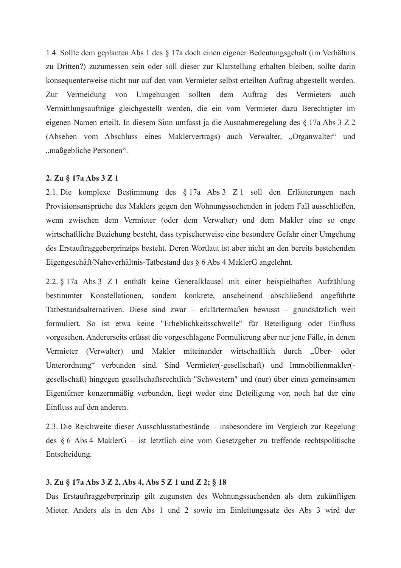1.4. Sollte dem geplanten Abs 1 des § 17a doch einen eigener Bedeutungsgehalt (im Verhältnis zu Dritten?) zuzumessen sein oder soll dieser zur Klarstellung erhalten bleiben, sollte darin konsequenterweise nicht nur auf den vom Vermieter selbst erteilten Auftrag abgestellt werden. Zur Vermeidung von Umgehungen sollten dem Auftrag des Vermieters auch Vermittlungsaufträge gleichgestellt werden, die ein vom Vermieter dazu Berechtigter im eigenen Namen erteilt. In diesem Sinn umfasst ja die Ausnahmeregelung des § 17a Abs 3 Z 2 (Absehen vom Abschluss eines Maklervertrags) auch Verwalter, "Organwalter" und "maßgebliche Personen".

## 2. Zu § 17a Abs 3 Z 1

2.1. Die komplexe Bestimmung des § 17a Abs 3 Z 1 soll den Erläuterungen nach Provisionsansprüche des Maklers gegen den Wohnungssuchenden in jedem Fall ausschließen, wenn zwischen dem Vermieter (oder dem Verwalter) und dem Makler eine so enge wirtschaftliche Beziehung besteht, dass typischerweise eine besondere Gefahr einer Umgehung des Erstauftraggeberprinzips besteht. Deren Wortlaut ist aber nicht an den bereits bestehenden Eigengeschäft/Naheverhältnis-Tatbestand des § 6 Abs 4 MaklerG angelehnt.

2.2. § 17a Abs 3 Z 1 enthält keine Generalklausel mit einer beispielhaften Aufzählung bestimmter Konstellationen, sondern konkrete, anscheinend abschließend angeführte Tatbestandsalternativen. Diese sind zwar – erklärtermaßen bewusst – grundsätzlich weit formuliert. So ist etwa keine "Erheblichkeitsschwelle" für Beteiligung oder Einfluss vorgesehen. Andererseits erfasst die vorgeschlagene Formulierung aber nur jene Fälle, in denen Vermieter (Verwalter) und Makler miteinander wirtschaftlich durch "Über- oder Unterordnung" verbunden sind. Sind Vermieter(-gesellschaft) und Immobilienmakler(gesellschaft) hingegen gesellschaftsrechtlich "Schwestern" und (nur) über einen gemeinsamen Eigentümer konzernmäßig verbunden, liegt weder eine Beteiligung vor, noch hat der eine Einfluss auf den anderen.

2.3. Die Reichweite dieser Ausschlusstatbestände – insbesondere im Vergleich zur Regelung des  $\S 6$  Abs 4 MaklerG – ist letztlich eine vom Gesetzgeber zu treffende rechtspolitische Entscheidung.

## 3. Zu § 17a Abs 3 Z 2, Abs 4, Abs 5 Z 1 und Z 2; § 18

Das Erstauftraggeberprinzip gilt zugunsten des Wohnungssuchenden als dem zukünftigen Mieter. Anders als in den Abs 1 und 2 sowie im Einleitungssatz des Abs 3 wird der